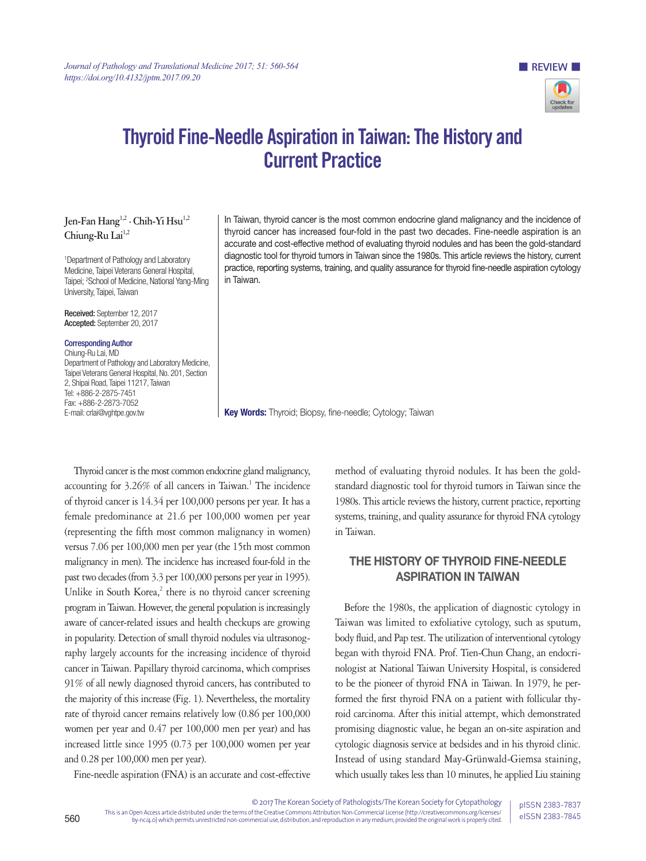

**EXPLOSIVE BUSIC REVIEW IN** 

# Thyroid Fine-Needle Aspiration in Taiwan: The History and Current Practice

### **Jen-Fan Hang1,2 · Chih-Yi Hsu1,2** Chiung-Ru Lai<sup>1,2</sup>

1 Department of Pathology and Laboratory Medicine, Taipei Veterans General Hospital, Taipei; 2 School of Medicine, National Yang-Ming University, Taipei, Taiwan

Received: September 12, 2017 Accepted: September 20, 2017

#### Corresponding Author

Chiung-Ru Lai, MD Department of Pathology and Laboratory Medicine, Taipei Veterans General Hospital, No. 201, Section 2, Shipai Road, Taipei 11217, Taiwan Tel: +886-2-2875-7451 Fax: +886-2-2873-7052 E-mail: crlai@vghtpe.gov.tw

In Taiwan, thyroid cancer is the most common endocrine gland malignancy and the incidence of thyroid cancer has increased four-fold in the past two decades. Fine-needle aspiration is an accurate and cost-effective method of evaluating thyroid nodules and has been the gold-standard diagnostic tool for thyroid tumors in Taiwan since the 1980s. This article reviews the history, current practice, reporting systems, training, and quality assurance for thyroid fine-needle aspiration cytology in Taiwan.

Key Words: Thyroid; Biopsy, fine-needle; Cytology; Taiwan

Thyroid cancer is the most common endocrine gland malignancy, accounting for 3.26% of all cancers in Taiwan.<sup>1</sup> The incidence of thyroid cancer is 14.34 per 100,000 persons per year. It has a female predominance at 21.6 per 100,000 women per year (representing the fifth most common malignancy in women) versus 7.06 per 100,000 men per year (the 15th most common malignancy in men). The incidence has increased four-fold in the past two decades (from 3.3 per 100,000 persons per year in 1995). Unlike in South Korea,<sup>2</sup> there is no thyroid cancer screening program in Taiwan. However, the general population is increasingly aware of cancer-related issues and health checkups are growing in popularity. Detection of small thyroid nodules via ultrasonography largely accounts for the increasing incidence of thyroid cancer in Taiwan. Papillary thyroid carcinoma, which comprises 91% of all newly diagnosed thyroid cancers, has contributed to the majority of this increase (Fig. 1). Nevertheless, the mortality rate of thyroid cancer remains relatively low (0.86 per 100,000 women per year and 0.47 per 100,000 men per year) and has increased little since 1995 (0.73 per 100,000 women per year and 0.28 per 100,000 men per year).

Fine-needle aspiration (FNA) is an accurate and cost-effective

method of evaluating thyroid nodules. It has been the goldstandard diagnostic tool for thyroid tumors in Taiwan since the 1980s. This article reviews the history, current practice, reporting systems, training, and quality assurance for thyroid FNA cytology in Taiwan.

## THE HISTORY OF THYROID FINE-NEEDLE ASPIRATION IN TAIWAN

Before the 1980s, the application of diagnostic cytology in Taiwan was limited to exfoliative cytology, such as sputum, body fluid, and Pap test. The utilization of interventional cytology began with thyroid FNA. Prof. Tien-Chun Chang, an endocrinologist at National Taiwan University Hospital, is considered to be the pioneer of thyroid FNA in Taiwan. In 1979, he performed the first thyroid FNA on a patient with follicular thyroid carcinoma. After this initial attempt, which demonstrated promising diagnostic value, he began an on-site aspiration and cytologic diagnosis service at bedsides and in his thyroid clinic. Instead of using standard May-Grünwald-Giemsa staining, which usually takes less than 10 minutes, he applied Liu staining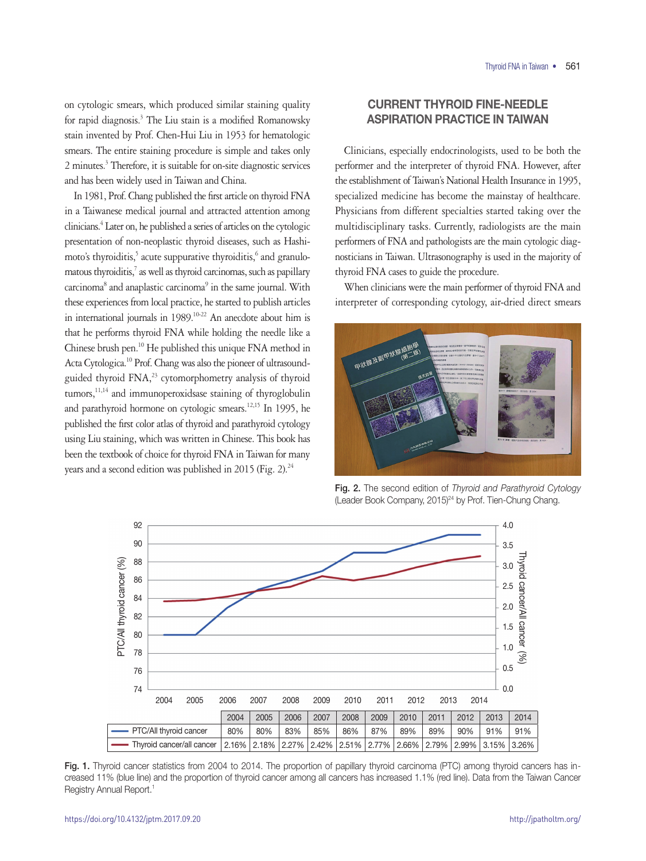on cytologic smears, which produced similar staining quality for rapid diagnosis.<sup>3</sup> The Liu stain is a modified Romanowsky stain invented by Prof. Chen-Hui Liu in 1953 for hematologic smears. The entire staining procedure is simple and takes only 2 minutes.<sup>3</sup> Therefore, it is suitable for on-site diagnostic services and has been widely used in Taiwan and China.

In 1981, Prof. Chang published the first article on thyroid FNA in a Taiwanese medical journal and attracted attention among clinicians.4 Later on, he published a series of articles on the cytologic presentation of non-neoplastic thyroid diseases, such as Hashimoto's thyroiditis,<sup>5</sup> acute suppurative thyroiditis,<sup>6</sup> and granulomatous thyroiditis,<sup>7</sup> as well as thyroid carcinomas, such as papillary carcinoma<sup>8</sup> and anaplastic carcinoma<sup>9</sup> in the same journal. With these experiences from local practice, he started to publish articles in international journals in 1989.<sup>10-22</sup> An anecdote about him is that he performs thyroid FNA while holding the needle like a Chinese brush pen.10 He published this unique FNA method in Acta Cytologica.10 Prof. Chang was also the pioneer of ultrasoundguided thyroid FNA,<sup>23</sup> cytomorphometry analysis of thyroid tumors,<sup>11,14</sup> and immunoperoxidsase staining of thyroglobulin and parathyroid hormone on cytologic smears.<sup>12,15</sup> In 1995, he published the first color atlas of thyroid and parathyroid cytology using Liu staining, which was written in Chinese. This book has been the textbook of choice for thyroid FNA in Taiwan for many years and a second edition was published in 2015 (Fig. 2).<sup>24</sup>

### CURRENT THYROID FINE-NEEDLE ASPIRATION PRACTICE IN TAIWAN

Clinicians, especially endocrinologists, used to be both the performer and the interpreter of thyroid FNA. However, after the establishment of Taiwan's National Health Insurance in 1995, specialized medicine has become the mainstay of healthcare. Physicians from different specialties started taking over the multidisciplinary tasks. Currently, radiologists are the main performers of FNA and pathologists are the main cytologic diagnosticians in Taiwan. Ultrasonography is used in the majority of thyroid FNA cases to guide the procedure.

When clinicians were the main performer of thyroid FNA and interpreter of corresponding cytology, air-dried direct smears



Fig. 2. The second edition of *Thyroid and Parathyroid Cytology* (Leader Book Company, 2015)<sup>24</sup> by Prof. Tien-Chung Chang.



Fig. 1. Thyroid cancer statistics from 2004 to 2014. The proportion of papillary thyroid carcinoma (PTC) among thyroid cancers has increased 11% (blue line) and the proportion of thyroid cancer among all cancers has increased 1.1% (red line). Data from the Taiwan Cancer Registry Annual Report.1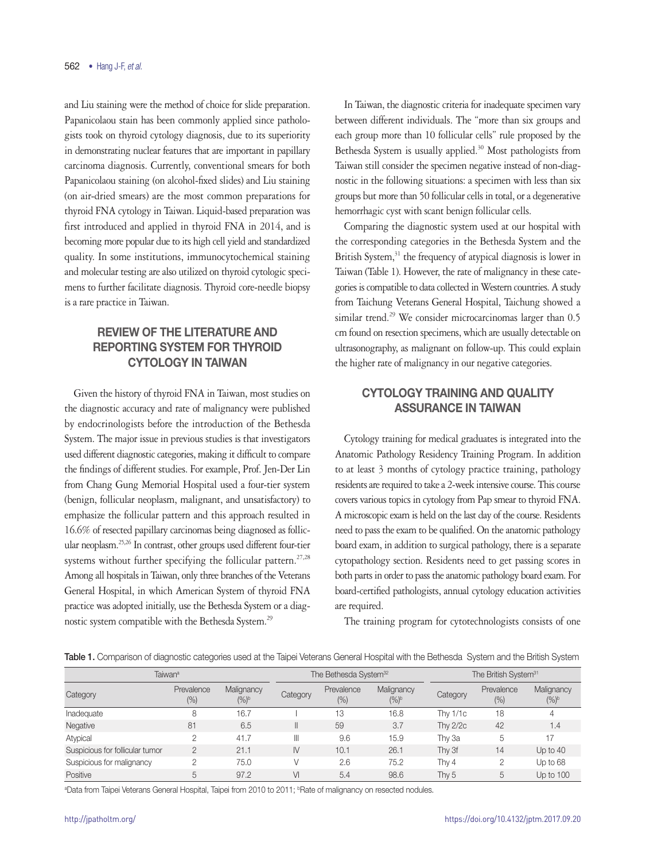and Liu staining were the method of choice for slide preparation. Papanicolaou stain has been commonly applied since pathologists took on thyroid cytology diagnosis, due to its superiority in demonstrating nuclear features that are important in papillary carcinoma diagnosis. Currently, conventional smears for both Papanicolaou staining (on alcohol-fixed slides) and Liu staining (on air-dried smears) are the most common preparations for thyroid FNA cytology in Taiwan. Liquid-based preparation was first introduced and applied in thyroid FNA in 2014, and is becoming more popular due to its high cell yield and standardized quality. In some institutions, immunocytochemical staining and molecular testing are also utilized on thyroid cytologic specimens to further facilitate diagnosis. Thyroid core-needle biopsy is a rare practice in Taiwan.

## REVIEW OF THE LITERATURE AND REPORTING SYSTEM FOR THYROID CYTOLOGY IN TAIWAN

Given the history of thyroid FNA in Taiwan, most studies on the diagnostic accuracy and rate of malignancy were published by endocrinologists before the introduction of the Bethesda System. The major issue in previous studies is that investigators used different diagnostic categories, making it difficult to compare the findings of different studies. For example, Prof. Jen-Der Lin from Chang Gung Memorial Hospital used a four-tier system (benign, follicular neoplasm, malignant, and unsatisfactory) to emphasize the follicular pattern and this approach resulted in 16.6% of resected papillary carcinomas being diagnosed as follicular neoplasm.25,26 In contrast, other groups used different four-tier systems without further specifying the follicular pattern.<sup>27,28</sup> Among all hospitals in Taiwan, only three branches of the Veterans General Hospital, in which American System of thyroid FNA practice was adopted initially, use the Bethesda System or a diagnostic system compatible with the Bethesda System.<sup>29</sup>

In Taiwan, the diagnostic criteria for inadequate specimen vary between different individuals. The "more than six groups and each group more than 10 follicular cells" rule proposed by the Bethesda System is usually applied.<sup>30</sup> Most pathologists from Taiwan still consider the specimen negative instead of non-diagnostic in the following situations: a specimen with less than six groups but more than 50 follicular cells in total, or a degenerative hemorrhagic cyst with scant benign follicular cells.

Comparing the diagnostic system used at our hospital with the corresponding categories in the Bethesda System and the British System,<sup>31</sup> the frequency of atypical diagnosis is lower in Taiwan (Table 1). However, the rate of malignancy in these categories is compatible to data collected in Western countries. A study from Taichung Veterans General Hospital, Taichung showed a similar trend.<sup>29</sup> We consider microcarcinomas larger than 0.5 cm found on resection specimens, which are usually detectable on ultrasonography, as malignant on follow-up. This could explain the higher rate of malignancy in our negative categories.

## CYTOLOGY TRAINING AND QUALITY ASSURANCE IN TAIWAN

Cytology training for medical graduates is integrated into the Anatomic Pathology Residency Training Program. In addition to at least 3 months of cytology practice training, pathology residents are required to take a 2-week intensive course. This course covers various topics in cytology from Pap smear to thyroid FNA. A microscopic exam is held on the last day of the course. Residents need to pass the exam to be qualified. On the anatomic pathology board exam, in addition to surgical pathology, there is a separate cytopathology section. Residents need to get passing scores in both parts in order to pass the anatomic pathology board exam. For board-certified pathologists, annual cytology education activities are required.

The training program for cytotechnologists consists of one

|  |  | <b>Table 1.</b> Comparison of diagnostic categories used at the Taipei Veterans General Hospital with the Bethesda System and the British System |  |  |  |  |  |  |  |  |  |  |  |  |  |  |  |
|--|--|--------------------------------------------------------------------------------------------------------------------------------------------------|--|--|--|--|--|--|--|--|--|--|--|--|--|--|--|
|--|--|--------------------------------------------------------------------------------------------------------------------------------------------------|--|--|--|--|--|--|--|--|--|--|--|--|--|--|--|

| Taiwan <sup>a</sup>             |                   |                             |              | The Bethesda System <sup>32</sup> |                       |                 | The British System <sup>31</sup> |                       |  |  |
|---------------------------------|-------------------|-----------------------------|--------------|-----------------------------------|-----------------------|-----------------|----------------------------------|-----------------------|--|--|
| Category                        | Prevalence<br>(%) | Malignancy<br>$(%)^{\circ}$ | Category     | Prevalence<br>(%)                 | Malignancy<br>$(%)^b$ | Category        | Prevalence<br>$(\%)$             | Malignancy<br>$(%)^b$ |  |  |
| Inadequate                      | 8                 | 16.7                        |              | 13                                | 16.8                  | Thy $1/1c$      | 18                               | 4                     |  |  |
| Negative                        | 81                | 6.5                         |              | 59                                | 3.7                   | <b>Thy 2/2c</b> | 42                               | 1.4                   |  |  |
| Atypical                        | っ                 | 41.7                        | Ш            | 9.6                               | 15.9                  | Thy 3a          | 5                                | 17                    |  |  |
| Suspicious for follicular tumor | $\overline{2}$    | 21.1                        | $\mathsf{N}$ | 10.1                              | 26.1                  | Thy 3f          | 14                               | Up to 40              |  |  |
| Suspicious for malignancy       |                   | 75.0                        |              | 2.6                               | 75.2                  | Thy 4           | 2                                | Up to 68              |  |  |
| Positive                        | 5                 | 97.2                        | VI           | 5.4                               | 98.6                  | Thy 5           | 5                                | Up to 100             |  |  |

<sup>a</sup>Data from Taipei Veterans General Hospital, Taipei from 2010 to 2011; <sup>b</sup>Rate of malignancy on resected nodules.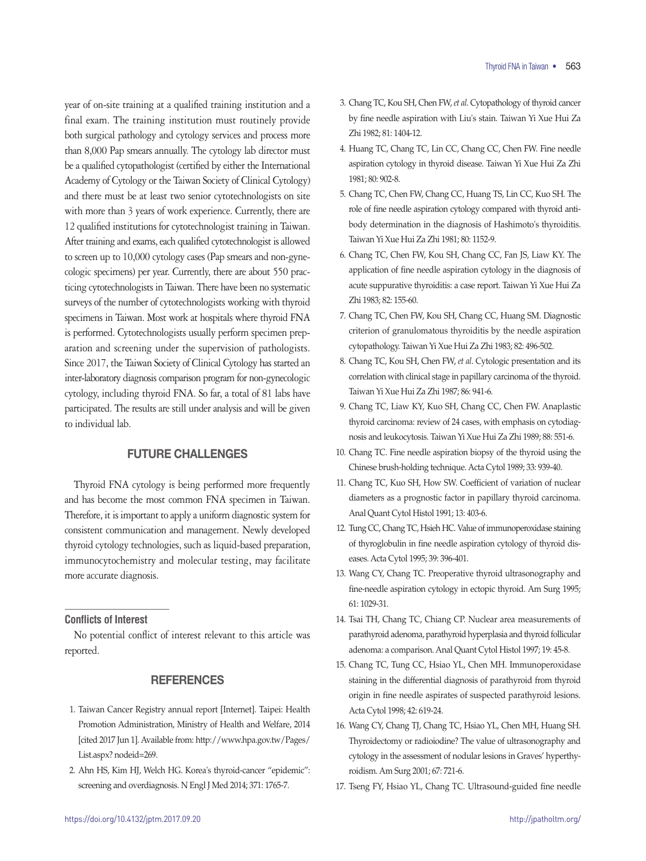year of on-site training at a qualified training institution and a final exam. The training institution must routinely provide both surgical pathology and cytology services and process more than 8,000 Pap smears annually. The cytology lab director must be a qualified cytopathologist (certified by either the International Academy of Cytology or the Taiwan Society of Clinical Cytology) and there must be at least two senior cytotechnologists on site with more than 3 years of work experience. Currently, there are 12 qualified institutions for cytotechnologist training in Taiwan. After training and exams, each qualified cytotechnologist is allowed to screen up to 10,000 cytology cases (Pap smears and non-gynecologic specimens) per year. Currently, there are about 550 practicing cytotechnologists in Taiwan. There have been no systematic surveys of the number of cytotechnologists working with thyroid specimens in Taiwan. Most work at hospitals where thyroid FNA is performed. Cytotechnologists usually perform specimen preparation and screening under the supervision of pathologists. Since 2017, the Taiwan Society of Clinical Cytology has started an inter-laboratory diagnosis comparison program for non-gynecologic cytology, including thyroid FNA. So far, a total of 81 labs have participated. The results are still under analysis and will be given to individual lab.

### FUTURE CHALLENGES

Thyroid FNA cytology is being performed more frequently and has become the most common FNA specimen in Taiwan. Therefore, it is important to apply a uniform diagnostic system for consistent communication and management. Newly developed thyroid cytology technologies, such as liquid-based preparation, immunocytochemistry and molecular testing, may facilitate more accurate diagnosis.

#### **Conflicts of Interest**

No potential conflict of interest relevant to this article was reported.

#### **REFERENCES**

- 1. Taiwan Cancer Registry annual report [Internet]. Taipei: Health Promotion Administration, Ministry of Health and Welfare, 2014 [cited 2017 Jun 1]. Available from: http://www.hpa.gov.tw/Pages/ List.aspx? nodeid=269.
- 2. Ahn HS, Kim HJ, Welch HG. Korea's thyroid-cancer "epidemic": screening and overdiagnosis. N Engl J Med 2014; 371: 1765-7.
- 3. Chang TC, Kou SH, Chen FW, *et al*. Cytopathology of thyroid cancer by fine needle aspiration with Liu's stain. Taiwan Yi Xue Hui Za Zhi 1982; 81: 1404-12.
- 4. Huang TC, Chang TC, Lin CC, Chang CC, Chen FW. Fine needle aspiration cytology in thyroid disease. Taiwan Yi Xue Hui Za Zhi 1981; 80: 902-8.
- 5. Chang TC, Chen FW, Chang CC, Huang TS, Lin CC, Kuo SH. The role of fine needle aspiration cytology compared with thyroid antibody determination in the diagnosis of Hashimoto's thyroiditis. Taiwan Yi Xue Hui Za Zhi 1981; 80: 1152-9.
- 6. Chang TC, Chen FW, Kou SH, Chang CC, Fan JS, Liaw KY. The application of fine needle aspiration cytology in the diagnosis of acute suppurative thyroiditis: a case report. Taiwan Yi Xue Hui Za Zhi 1983; 82: 155-60.
- 7. Chang TC, Chen FW, Kou SH, Chang CC, Huang SM. Diagnostic criterion of granulomatous thyroiditis by the needle aspiration cytopathology. Taiwan Yi Xue Hui Za Zhi 1983; 82: 496-502.
- 8. Chang TC, Kou SH, Chen FW, *et al*. Cytologic presentation and its correlation with clinical stage in papillary carcinoma of the thyroid. Taiwan Yi Xue Hui Za Zhi 1987; 86: 941-6.
- 9. Chang TC, Liaw KY, Kuo SH, Chang CC, Chen FW. Anaplastic thyroid carcinoma: review of 24 cases, with emphasis on cytodiagnosis and leukocytosis. Taiwan Yi Xue Hui Za Zhi 1989; 88: 551-6.
- 10. Chang TC. Fine needle aspiration biopsy of the thyroid using the Chinese brush-holding technique. Acta Cytol 1989; 33: 939-40.
- 11. Chang TC, Kuo SH, How SW. Coefficient of variation of nuclear diameters as a prognostic factor in papillary thyroid carcinoma. Anal Quant Cytol Histol 1991; 13: 403-6.
- 12. Tung CC, Chang TC, Hsieh HC. Value of immunoperoxidase staining of thyroglobulin in fine needle aspiration cytology of thyroid diseases. Acta Cytol 1995; 39: 396-401.
- 13. Wang CY, Chang TC. Preoperative thyroid ultrasonography and fine-needle aspiration cytology in ectopic thyroid. Am Surg 1995; 61: 1029-31.
- 14. Tsai TH, Chang TC, Chiang CP. Nuclear area measurements of parathyroid adenoma, parathyroid hyperplasia and thyroid follicular adenoma: a comparison. Anal Quant Cytol Histol 1997; 19: 45-8.
- 15. Chang TC, Tung CC, Hsiao YL, Chen MH. Immunoperoxidase staining in the differential diagnosis of parathyroid from thyroid origin in fine needle aspirates of suspected parathyroid lesions. Acta Cytol 1998; 42: 619-24.
- 16. Wang CY, Chang TJ, Chang TC, Hsiao YL, Chen MH, Huang SH. Thyroidectomy or radioiodine? The value of ultrasonography and cytology in the assessment of nodular lesions in Graves' hyperthyroidism. Am Surg 2001; 67: 721-6.
- 17. Tseng FY, Hsiao YL, Chang TC. Ultrasound-guided fine needle